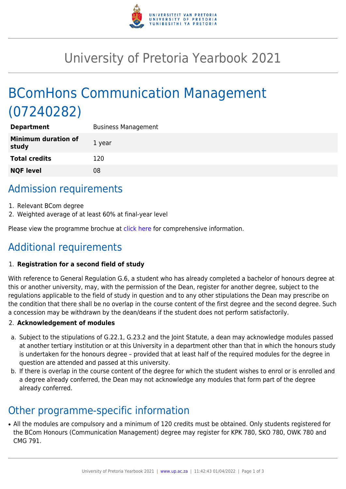

# University of Pretoria Yearbook 2021

# BComHons Communication Management (07240282)

| <b>Department</b>                   | <b>Business Management</b> |
|-------------------------------------|----------------------------|
| <b>Minimum duration of</b><br>study | 1 year                     |
| <b>Total credits</b>                | 120                        |
| <b>NQF level</b>                    | 08                         |
|                                     |                            |

# Admission requirements

- 1. Relevant BCom degree
- 2. Weighted average of at least 60% at final-year level

Please view the programme brochue at [click here](https://www.up.ac.za/media/shared/77/ZP_Files/2021/bcom-hons-communication-management-2021.zp186298.pdf) for comprehensive information.

# Additional requirements

### 1. **Registration for a second field of study**

With reference to General Regulation G.6, a student who has already completed a bachelor of honours degree at this or another university, may, with the permission of the Dean, register for another degree, subject to the regulations applicable to the field of study in question and to any other stipulations the Dean may prescribe on the condition that there shall be no overlap in the course content of the first degree and the second degree. Such a concession may be withdrawn by the dean/deans if the student does not perform satisfactorily.

### 2. **Acknowledgement of modules**

- a. Subject to the stipulations of G.22.1, G.23.2 and the Joint Statute, a dean may acknowledge modules passed at another tertiary institution or at this University in a department other than that in which the honours study is undertaken for the honours degree – provided that at least half of the required modules for the degree in question are attended and passed at this university.
- b. If there is overlap in the course content of the degree for which the student wishes to enrol or is enrolled and a degree already conferred, the Dean may not acknowledge any modules that form part of the degree already conferred.

### Other programme-specific information

• All the modules are compulsory and a minimum of 120 credits must be obtained. Only students registered for the BCom Honours (Communication Management) degree may register for KPK 780, SKO 780, OWK 780 and CMG 791.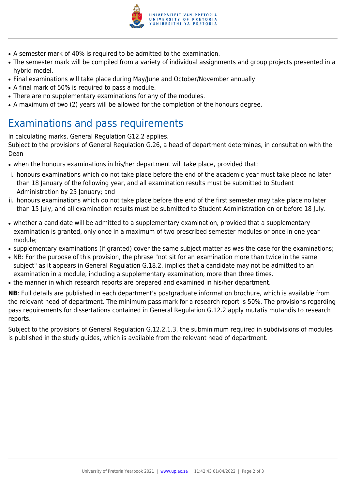

- A semester mark of 40% is required to be admitted to the examination.
- The semester mark will be compiled from a variety of individual assignments and group projects presented in a hybrid model.
- Final examinations will take place during May/June and October/November annually.
- A final mark of 50% is required to pass a module.
- There are no supplementary examinations for any of the modules.
- A maximum of two (2) years will be allowed for the completion of the honours degree.

# Examinations and pass requirements

In calculating marks, General Regulation G12.2 applies.

Subject to the provisions of General Regulation G.26, a head of department determines, in consultation with the Dean

- when the honours examinations in his/her department will take place, provided that:
- i. honours examinations which do not take place before the end of the academic year must take place no later than 18 January of the following year, and all examination results must be submitted to Student Administration by 25 January; and
- ii. honours examinations which do not take place before the end of the first semester may take place no later than 15 July, and all examination results must be submitted to Student Administration on or before 18 July.
- whether a candidate will be admitted to a supplementary examination, provided that a supplementary examination is granted, only once in a maximum of two prescribed semester modules or once in one year module;
- supplementary examinations (if granted) cover the same subject matter as was the case for the examinations;
- NB: For the purpose of this provision, the phrase "not sit for an examination more than twice in the same subject" as it appears in General Regulation G.18.2, implies that a candidate may not be admitted to an examination in a module, including a supplementary examination, more than three times.
- the manner in which research reports are prepared and examined in his/her department.

**NB**: Full details are published in each department's postgraduate information brochure, which is available from the relevant head of department. The minimum pass mark for a research report is 50%. The provisions regarding pass requirements for dissertations contained in General Regulation G.12.2 apply mutatis mutandis to research reports.

Subject to the provisions of General Regulation G.12.2.1.3, the subminimum required in subdivisions of modules is published in the study guides, which is available from the relevant head of department.